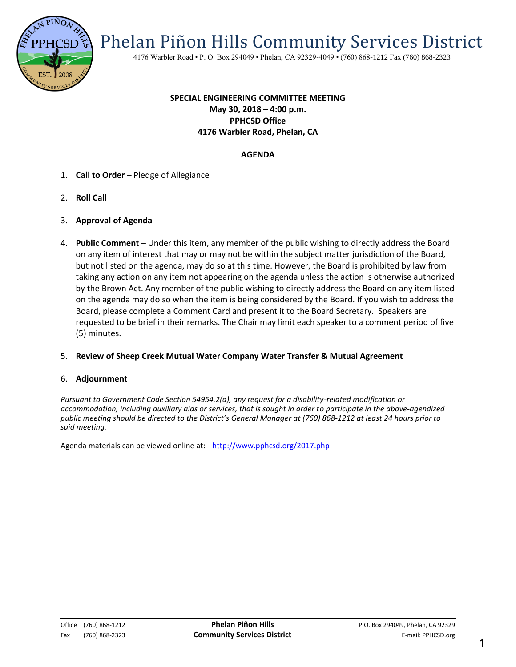

Phelan Piñon Hills Community Services District

4176 Warbler Road • P. O. Box 294049 • Phelan, CA 92329-4049 • (760) 868-1212 Fax (760) 868-2323

## **SPECIAL ENGINEERING COMMITTEE MEETING May 30, 2018 – 4:00 p.m. PPHCSD Office 4176 Warbler Road, Phelan, CA**

## **AGENDA**

- 1. **Call to Order** Pledge of Allegiance
- 2. **Roll Call**
- 3. **Approval of Agenda**
- 4. **Public Comment**  Under this item, any member of the public wishing to directly address the Board on any item of interest that may or may not be within the subject matter jurisdiction of the Board, but not listed on the agenda, may do so at this time. However, the Board is prohibited by law from taking any action on any item not appearing on the agenda unless the action is otherwise authorized by the Brown Act. Any member of the public wishing to directly address the Board on any item listed on the agenda may do so when the item is being considered by the Board. If you wish to address the Board, please complete a Comment Card and present it to the Board Secretary. Speakers are requested to be brief in their remarks. The Chair may limit each speaker to a comment period of five (5) minutes.

#### 5. **Review of Sheep Creek Mutual Water Company Water Transfer & Mutual Agreement**

#### 6. **Adjournment**

*Pursuant to Government Code Section 54954.2(a), any request for a disability-related modification or accommodation, including auxiliary aids or services, that is sought in order to participate in the above-agendized public meeting should be directed to the District's General Manager at (760) 868-1212 at least 24 hours prior to said meeting.* 

Agenda materials can be viewed online at: <http://www.pphcsd.org/2017.php>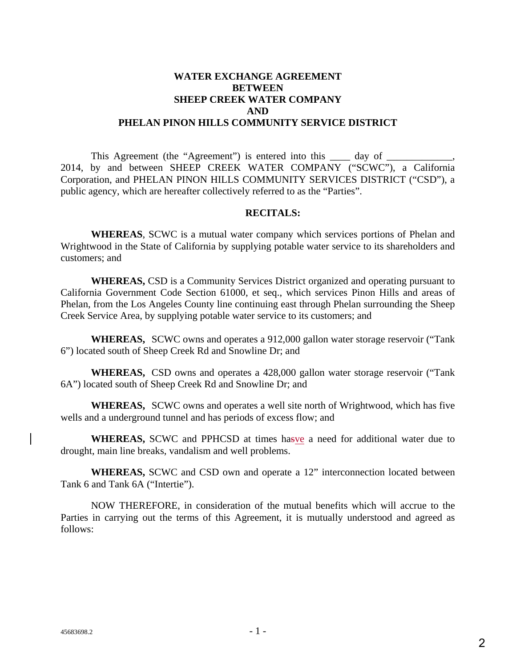## **WATER EXCHANGE AGREEMENT BETWEEN SHEEP CREEK WATER COMPANY AND PHELAN PINON HILLS COMMUNITY SERVICE DISTRICT**

This Agreement (the "Agreement") is entered into this \_\_\_\_\_\_\_ day of \_\_\_\_\_\_\_\_\_\_ 2014, by and between SHEEP CREEK WATER COMPANY ("SCWC"), a California Corporation, and PHELAN PINON HILLS COMMUNITY SERVICES DISTRICT ("CSD"), a public agency, which are hereafter collectively referred to as the "Parties".

### **RECITALS:**

**WHEREAS**, SCWC is a mutual water company which services portions of Phelan and Wrightwood in the State of California by supplying potable water service to its shareholders and customers; and

**WHEREAS,** CSD is a Community Services District organized and operating pursuant to California Government Code Section 61000, et seq., which services Pinon Hills and areas of Phelan, from the Los Angeles County line continuing east through Phelan surrounding the Sheep Creek Service Area, by supplying potable water service to its customers; and

**WHEREAS,** SCWC owns and operates a 912,000 gallon water storage reservoir ("Tank 6") located south of Sheep Creek Rd and Snowline Dr; and

**WHEREAS,** CSD owns and operates a 428,000 gallon water storage reservoir ("Tank 6A") located south of Sheep Creek Rd and Snowline Dr; and

**WHEREAS,** SCWC owns and operates a well site north of Wrightwood, which has five wells and a underground tunnel and has periods of excess flow; and

**WHEREAS,** SCWC and PPHCSD at times hasve a need for additional water due to drought, main line breaks, vandalism and well problems.

**WHEREAS,** SCWC and CSD own and operate a 12" interconnection located between Tank 6 and Tank 6A ("Intertie").

NOW THEREFORE, in consideration of the mutual benefits which will accrue to the Parties in carrying out the terms of this Agreement, it is mutually understood and agreed as follows: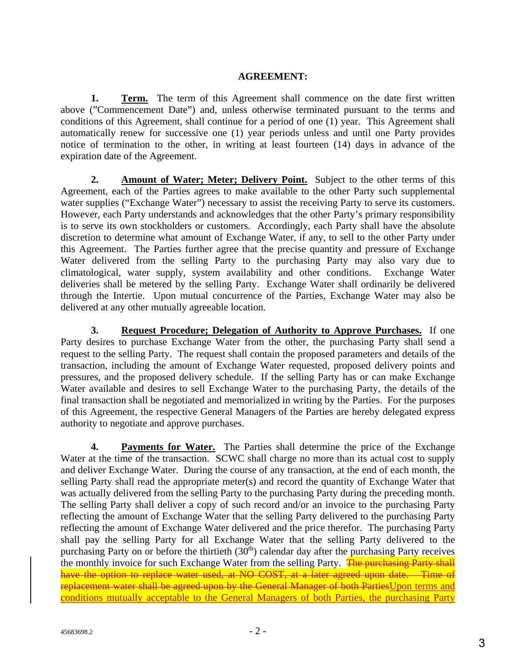# **AGREEMENT:**

**1. Term.** The term of this Agreement shall commence on the date first written above ("Commencement Date") and, unless otherwise terminated pursuant to the terms and conditions of this Agreement, shall continue for a period of one (1) year. This Agreement shall automatically renew for successive one (1) year periods unless and until one Party provides notice of termination to the other, in writing at least fourteen (14) days in advance of the expiration date of the Agreement.

**2. Amount of Water; Meter; Delivery Point.** Subject to the other terms of this Agreement, each of the Parties agrees to make available to the other Party such supplemental water supplies ("Exchange Water") necessary to assist the receiving Party to serve its customers. However, each Party understands and acknowledges that the other Party's primary responsibility is to serve its own stockholders or customers. Accordingly, each Party shall have the absolute discretion to determine what amount of Exchange Water, if any, to sell to the other Party under this Agreement. The Parties further agree that the precise quantity and pressure of Exchange Water delivered from the selling Party to the purchasing Party may also vary due to climatological, water supply, system availability and other conditions. Exchange Water deliveries shall be metered by the selling Party. Exchange Water shall ordinarily be delivered through the Intertie. Upon mutual concurrence of the Parties, Exchange Water may also be delivered at any other mutually agreeable location.

**3. Request Procedure; Delegation of Authority to Approve Purchases.** If one Party desires to purchase Exchange Water from the other, the purchasing Party shall send a request to the selling Party. The request shall contain the proposed parameters and details of the transaction, including the amount of Exchange Water requested, proposed delivery points and pressures, and the proposed delivery schedule. If the selling Party has or can make Exchange Water available and desires to sell Exchange Water to the purchasing Party, the details of the final transaction shall be negotiated and memorialized in writing by the Parties. For the purposes of this Agreement, the respective General Managers of the Parties are hereby delegated express authority to negotiate and approve purchases.

**4. Payments for Water.** The Parties shall determine the price of the Exchange Water at the time of the transaction. SCWC shall charge no more than its actual cost to supply and deliver Exchange Water. During the course of any transaction, at the end of each month, the selling Party shall read the appropriate meter(s) and record the quantity of Exchange Water that was actually delivered from the selling Party to the purchasing Party during the preceding month. The selling Party shall deliver a copy of such record and/or an invoice to the purchasing Party reflecting the amount of Exchange Water that the selling Party delivered to the purchasing Party reflecting the amount of Exchange Water delivered and the price therefor. The purchasing Party shall pay the selling Party for all Exchange Water that the selling Party delivered to the purchasing Party on or before the thirtieth  $(30<sup>th</sup>)$  calendar day after the purchasing Party receives the monthly invoice for such Exchange Water from the selling Party. The purchasing Party shall have the option to replace water used, at NO COST, at a later agreed upon date. Time of replacement water shall be agreed upon by the General Manager of both PartiesUpon terms and conditions mutually acceptable to the General Managers of both Parties, the purchasing Party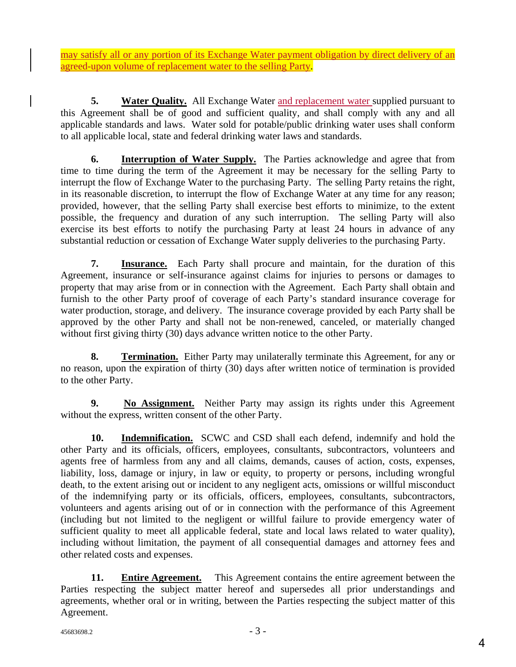may satisfy all or any portion of its Exchange Water payment obligation by direct delivery of an agreed-upon volume of replacement water to the selling Party.

**5. Water Quality.** All Exchange Water and replacement water supplied pursuant to this Agreement shall be of good and sufficient quality, and shall comply with any and all applicable standards and laws. Water sold for potable/public drinking water uses shall conform to all applicable local, state and federal drinking water laws and standards.

**6. Interruption of Water Supply.** The Parties acknowledge and agree that from time to time during the term of the Agreement it may be necessary for the selling Party to interrupt the flow of Exchange Water to the purchasing Party. The selling Party retains the right, in its reasonable discretion, to interrupt the flow of Exchange Water at any time for any reason; provided, however, that the selling Party shall exercise best efforts to minimize, to the extent possible, the frequency and duration of any such interruption. The selling Party will also exercise its best efforts to notify the purchasing Party at least 24 hours in advance of any substantial reduction or cessation of Exchange Water supply deliveries to the purchasing Party.

**7. Insurance.** Each Party shall procure and maintain, for the duration of this Agreement, insurance or self-insurance against claims for injuries to persons or damages to property that may arise from or in connection with the Agreement. Each Party shall obtain and furnish to the other Party proof of coverage of each Party's standard insurance coverage for water production, storage, and delivery. The insurance coverage provided by each Party shall be approved by the other Party and shall not be non-renewed, canceled, or materially changed without first giving thirty (30) days advance written notice to the other Party.

**8.** Termination. Either Party may unilaterally terminate this Agreement, for any or no reason, upon the expiration of thirty (30) days after written notice of termination is provided to the other Party.

**9. No Assignment.** Neither Party may assign its rights under this Agreement without the express, written consent of the other Party.

**10. Indemnification.** SCWC and CSD shall each defend, indemnify and hold the other Party and its officials, officers, employees, consultants, subcontractors, volunteers and agents free of harmless from any and all claims, demands, causes of action, costs, expenses, liability, loss, damage or injury, in law or equity, to property or persons, including wrongful death, to the extent arising out or incident to any negligent acts, omissions or willful misconduct of the indemnifying party or its officials, officers, employees, consultants, subcontractors, volunteers and agents arising out of or in connection with the performance of this Agreement (including but not limited to the negligent or willful failure to provide emergency water of sufficient quality to meet all applicable federal, state and local laws related to water quality), including without limitation, the payment of all consequential damages and attorney fees and other related costs and expenses.

**11. Entire Agreement.** This Agreement contains the entire agreement between the Parties respecting the subject matter hereof and supersedes all prior understandings and agreements, whether oral or in writing, between the Parties respecting the subject matter of this Agreement.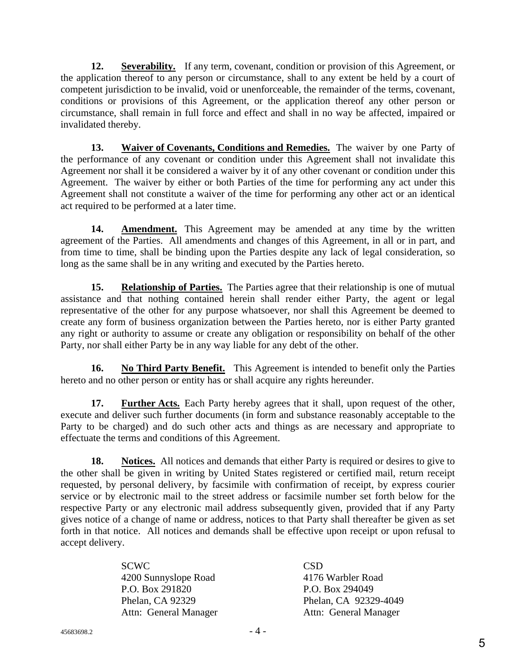12. Severability. If any term, covenant, condition or provision of this Agreement, or the application thereof to any person or circumstance, shall to any extent be held by a court of competent jurisdiction to be invalid, void or unenforceable, the remainder of the terms, covenant, conditions or provisions of this Agreement, or the application thereof any other person or circumstance, shall remain in full force and effect and shall in no way be affected, impaired or invalidated thereby.

**13. Waiver of Covenants, Conditions and Remedies.** The waiver by one Party of the performance of any covenant or condition under this Agreement shall not invalidate this Agreement nor shall it be considered a waiver by it of any other covenant or condition under this Agreement. The waiver by either or both Parties of the time for performing any act under this Agreement shall not constitute a waiver of the time for performing any other act or an identical act required to be performed at a later time.

14. **Amendment.** This Agreement may be amended at any time by the written agreement of the Parties. All amendments and changes of this Agreement, in all or in part, and from time to time, shall be binding upon the Parties despite any lack of legal consideration, so long as the same shall be in any writing and executed by the Parties hereto.

**15. Relationship of Parties.** The Parties agree that their relationship is one of mutual assistance and that nothing contained herein shall render either Party, the agent or legal representative of the other for any purpose whatsoever, nor shall this Agreement be deemed to create any form of business organization between the Parties hereto, nor is either Party granted any right or authority to assume or create any obligation or responsibility on behalf of the other Party, nor shall either Party be in any way liable for any debt of the other.

**16. No Third Party Benefit.** This Agreement is intended to benefit only the Parties hereto and no other person or entity has or shall acquire any rights hereunder.

**17. Further Acts.** Each Party hereby agrees that it shall, upon request of the other, execute and deliver such further documents (in form and substance reasonably acceptable to the Party to be charged) and do such other acts and things as are necessary and appropriate to effectuate the terms and conditions of this Agreement.

**18. Notices.** All notices and demands that either Party is required or desires to give to the other shall be given in writing by United States registered or certified mail, return receipt requested, by personal delivery, by facsimile with confirmation of receipt, by express courier service or by electronic mail to the street address or facsimile number set forth below for the respective Party or any electronic mail address subsequently given, provided that if any Party gives notice of a change of name or address, notices to that Party shall thereafter be given as set forth in that notice. All notices and demands shall be effective upon receipt or upon refusal to accept delivery.

| SCWC.                 | <b>CSD</b>            |
|-----------------------|-----------------------|
| 4200 Sunnyslope Road  | 4176 Warbler Road     |
| P.O. Box 291820       | P.O. Box 294049       |
| Phelan, CA 92329      | Phelan, CA 92329-4049 |
| Attn: General Manager | Attn: General Manager |